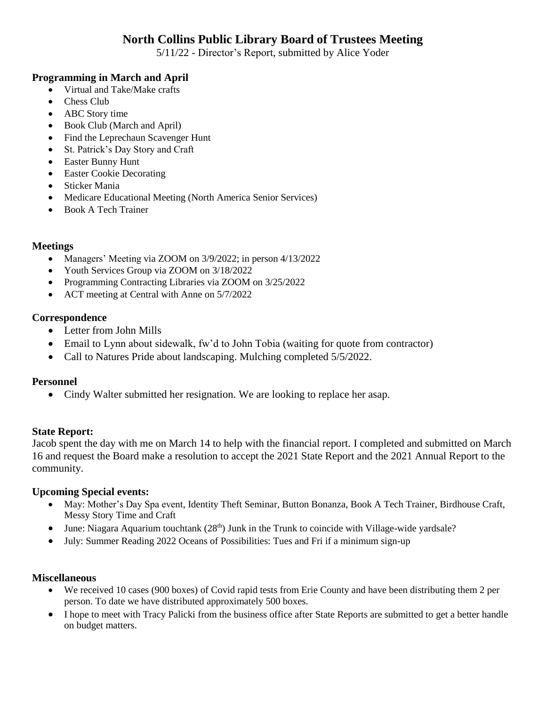# **North Collins Public Library Board of Trustees Meeting**

5/11/22 - Director's Report, submitted by Alice Yoder

### **Programming in March and April**

- Virtual and Take/Make crafts
- Chess Club
- ABC Story time
- Book Club (March and April)
- Find the Leprechaun Scavenger Hunt
- St. Patrick's Day Story and Craft
- Easter Bunny Hunt
- Easter Cookie Decorating
- Sticker Mania
- Medicare Educational Meeting (North America Senior Services)
- Book A Tech Trainer

#### **Meetings**

- Managers' Meeting via ZOOM on 3/9/2022; in person 4/13/2022
- Youth Services Group via ZOOM on 3/18/2022
- Programming Contracting Libraries via ZOOM on 3/25/2022
- ACT meeting at Central with Anne on  $5/7/2022$

#### **Correspondence**

- Letter from John Mills
- Email to Lynn about sidewalk, fw'd to John Tobia (waiting for quote from contractor)
- Call to Natures Pride about landscaping. Mulching completed 5/5/2022.

#### **Personnel**

• Cindy Walter submitted her resignation. We are looking to replace her asap.

#### **State Report:**

Jacob spent the day with me on March 14 to help with the financial report. I completed and submitted on March 16 and request the Board make a resolution to accept the 2021 State Report and the 2021 Annual Report to the community.

#### **Upcoming Special events:**

- May: Mother's Day Spa event, Identity Theft Seminar, Button Bonanza, Book A Tech Trainer, Birdhouse Craft, Messy Story Time and Craft
- $\bullet$  June: Niagara Aquarium touchtank (28<sup>th</sup>) Junk in the Trunk to coincide with Village-wide yardsale?
- July: Summer Reading 2022 Oceans of Possibilities: Tues and Fri if a minimum sign-up

#### **Miscellaneous**

- We received 10 cases (900 boxes) of Covid rapid tests from Erie County and have been distributing them 2 per person. To date we have distributed approximately 500 boxes.
- I hope to meet with Tracy Palicki from the business office after State Reports are submitted to get a better handle on budget matters.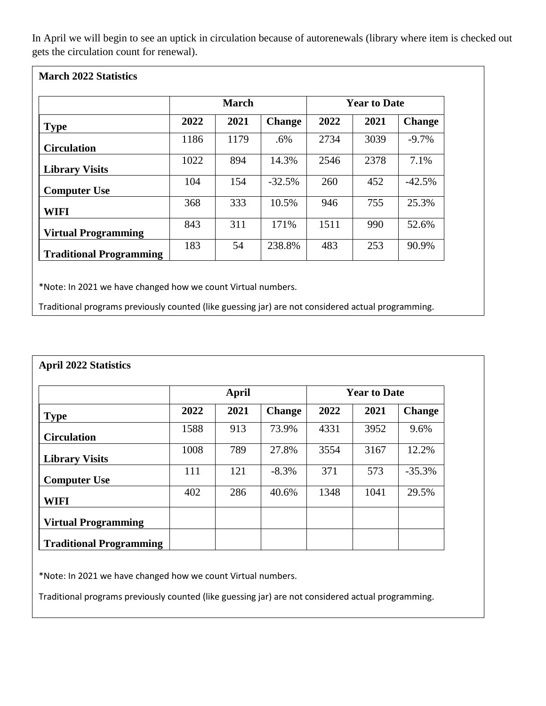In April we will begin to see an uptick in circulation because of autorenewals (library where item is checked out gets the circulation count for renewal).

|  |  | <b>March 2022 Statistics</b> |
|--|--|------------------------------|
|--|--|------------------------------|

|                                | <b>March</b> |      |               | <b>Year to Date</b> |      |               |  |
|--------------------------------|--------------|------|---------------|---------------------|------|---------------|--|
| <b>Type</b>                    | 2022         | 2021 | <b>Change</b> | 2022                | 2021 | <b>Change</b> |  |
| <b>Circulation</b>             | 1186         | 1179 | .6%           | 2734                | 3039 | $-9.7\%$      |  |
| <b>Library Visits</b>          | 1022         | 894  | 14.3%         | 2546                | 2378 | 7.1%          |  |
| <b>Computer Use</b>            | 104          | 154  | $-32.5%$      | 260                 | 452  | $-42.5%$      |  |
| <b>WIFI</b>                    | 368          | 333  | 10.5%         | 946                 | 755  | 25.3%         |  |
| <b>Virtual Programming</b>     | 843          | 311  | 171%          | 1511                | 990  | 52.6%         |  |
| <b>Traditional Programming</b> | 183          | 54   | 238.8%        | 483                 | 253  | 90.9%         |  |

\*Note: In 2021 we have changed how we count Virtual numbers.

Traditional programs previously counted (like guessing jar) are not considered actual programming.

|                                | <b>April</b> |      |               | <b>Year to Date</b> |      |               |  |
|--------------------------------|--------------|------|---------------|---------------------|------|---------------|--|
| <b>Type</b>                    | 2022         | 2021 | <b>Change</b> | 2022                | 2021 | <b>Change</b> |  |
| <b>Circulation</b>             | 1588         | 913  | 73.9%         | 4331                | 3952 | 9.6%          |  |
| <b>Library Visits</b>          | 1008         | 789  | 27.8%         | 3554                | 3167 | 12.2%         |  |
| <b>Computer Use</b>            | 111          | 121  | $-8.3\%$      | 371                 | 573  | $-35.3%$      |  |
| <b>WIFI</b>                    | 402          | 286  | 40.6%         | 1348                | 1041 | 29.5%         |  |
| <b>Virtual Programming</b>     |              |      |               |                     |      |               |  |
| <b>Traditional Programming</b> |              |      |               |                     |      |               |  |

\*Note: In 2021 we have changed how we count Virtual numbers.

Traditional programs previously counted (like guessing jar) are not considered actual programming.